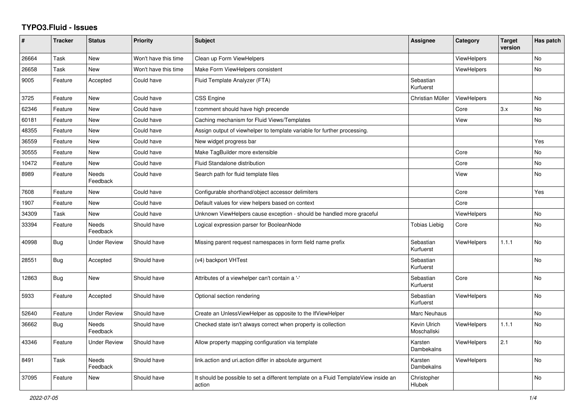## **TYPO3.Fluid - Issues**

| #     | <b>Tracker</b> | <b>Status</b>            | <b>Priority</b>      | <b>Subject</b>                                                                                | Assignee                    | Category           | <b>Target</b><br>version | Has patch |
|-------|----------------|--------------------------|----------------------|-----------------------------------------------------------------------------------------------|-----------------------------|--------------------|--------------------------|-----------|
| 26664 | Task           | New                      | Won't have this time | Clean up Form ViewHelpers                                                                     |                             | <b>ViewHelpers</b> |                          | No        |
| 26658 | Task           | New                      | Won't have this time | Make Form ViewHelpers consistent                                                              |                             | <b>ViewHelpers</b> |                          | <b>No</b> |
| 9005  | Feature        | Accepted                 | Could have           | Fluid Template Analyzer (FTA)                                                                 | Sebastian<br>Kurfuerst      |                    |                          |           |
| 3725  | Feature        | <b>New</b>               | Could have           | <b>CSS Engine</b>                                                                             | Christian Müller            | ViewHelpers        |                          | <b>No</b> |
| 62346 | Feature        | New                      | Could have           | f:comment should have high precende                                                           |                             | Core               | 3.x                      | <b>No</b> |
| 60181 | Feature        | <b>New</b>               | Could have           | Caching mechanism for Fluid Views/Templates                                                   |                             | View               |                          | No        |
| 48355 | Feature        | New                      | Could have           | Assign output of viewhelper to template variable for further processing.                      |                             |                    |                          |           |
| 36559 | Feature        | <b>New</b>               | Could have           | New widget progress bar                                                                       |                             |                    |                          | Yes       |
| 30555 | Feature        | <b>New</b>               | Could have           | Make TagBuilder more extensible                                                               |                             | Core               |                          | No        |
| 10472 | Feature        | <b>New</b>               | Could have           | Fluid Standalone distribution                                                                 |                             | Core               |                          | No        |
| 8989  | Feature        | Needs<br>Feedback        | Could have           | Search path for fluid template files                                                          |                             | View               |                          | No        |
| 7608  | Feature        | New                      | Could have           | Configurable shorthand/object accessor delimiters                                             |                             | Core               |                          | Yes       |
| 1907  | Feature        | <b>New</b>               | Could have           | Default values for view helpers based on context                                              |                             | Core               |                          |           |
| 34309 | Task           | <b>New</b>               | Could have           | Unknown ViewHelpers cause exception - should be handled more graceful                         |                             | <b>ViewHelpers</b> |                          | No        |
| 33394 | Feature        | Needs<br>Feedback        | Should have          | Logical expression parser for BooleanNode                                                     | <b>Tobias Liebig</b>        | Core               |                          | <b>No</b> |
| 40998 | Bug            | <b>Under Review</b>      | Should have          | Missing parent request namespaces in form field name prefix                                   | Sebastian<br>Kurfuerst      | <b>ViewHelpers</b> | 1.1.1                    | No        |
| 28551 | <b>Bug</b>     | Accepted                 | Should have          | (v4) backport VHTest                                                                          | Sebastian<br>Kurfuerst      |                    |                          | <b>No</b> |
| 12863 | <b>Bug</b>     | New                      | Should have          | Attributes of a viewhelper can't contain a '-'                                                | Sebastian<br>Kurfuerst      | Core               |                          | <b>No</b> |
| 5933  | Feature        | Accepted                 | Should have          | Optional section rendering                                                                    | Sebastian<br>Kurfuerst      | <b>ViewHelpers</b> |                          | No        |
| 52640 | Feature        | <b>Under Review</b>      | Should have          | Create an UnlessViewHelper as opposite to the IfViewHelper                                    | Marc Neuhaus                |                    |                          | No        |
| 36662 | <b>Bug</b>     | Needs<br>Feedback        | Should have          | Checked state isn't always correct when property is collection                                | Kevin Ulrich<br>Moschallski | <b>ViewHelpers</b> | 1.1.1                    | No        |
| 43346 | Feature        | <b>Under Review</b>      | Should have          | Allow property mapping configuration via template                                             | Karsten<br>Dambekalns       | <b>ViewHelpers</b> | 2.1                      | <b>No</b> |
| 8491  | Task           | <b>Needs</b><br>Feedback | Should have          | link.action and uri.action differ in absolute argument                                        | Karsten<br>Dambekalns       | <b>ViewHelpers</b> |                          | <b>No</b> |
| 37095 | Feature        | New                      | Should have          | It should be possible to set a different template on a Fluid TemplateView inside an<br>action | Christopher<br>Hlubek       |                    |                          | <b>No</b> |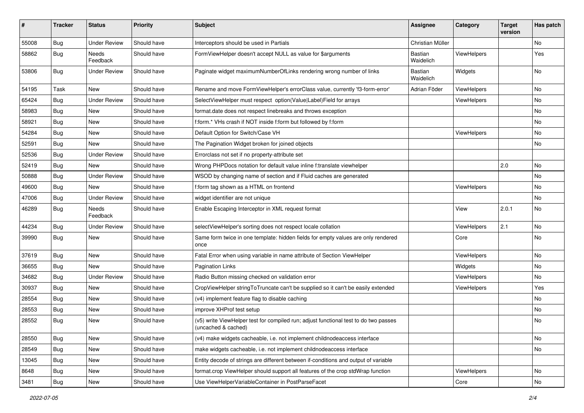| #     | <b>Tracker</b> | <b>Status</b>       | <b>Priority</b> | Subject                                                                                                     | <b>Assignee</b>             | Category    | <b>Target</b><br>version | Has patch |
|-------|----------------|---------------------|-----------------|-------------------------------------------------------------------------------------------------------------|-----------------------------|-------------|--------------------------|-----------|
| 55008 | Bug            | <b>Under Review</b> | Should have     | Interceptors should be used in Partials                                                                     | Christian Müller            |             |                          | <b>No</b> |
| 58862 | Bug            | Needs<br>Feedback   | Should have     | FormViewHelper doesn't accept NULL as value for \$arguments                                                 | Bastian<br>Waidelich        | ViewHelpers |                          | Yes       |
| 53806 | Bug            | <b>Under Review</b> | Should have     | Paginate widget maximumNumberOfLinks rendering wrong number of links                                        | <b>Bastian</b><br>Waidelich | Widgets     |                          | <b>No</b> |
| 54195 | Task           | <b>New</b>          | Should have     | Rename and move FormViewHelper's errorClass value, currently 'f3-form-error'                                | Adrian Föder                | ViewHelpers |                          | No        |
| 65424 | Bug            | <b>Under Review</b> | Should have     | SelectViewHelper must respect option(Value Label)Field for arrays                                           |                             | ViewHelpers |                          | No        |
| 58983 | Bug            | New                 | Should have     | format.date does not respect linebreaks and throws exception                                                |                             |             |                          | No        |
| 58921 | Bug            | New                 | Should have     | f:form.* VHs crash if NOT inside f:form but followed by f:form                                              |                             |             |                          | No        |
| 54284 | Bug            | New                 | Should have     | Default Option for Switch/Case VH                                                                           |                             | ViewHelpers |                          | No        |
| 52591 | <b>Bug</b>     | New                 | Should have     | The Pagination Widget broken for joined objects                                                             |                             |             |                          | No        |
| 52536 | Bug            | <b>Under Review</b> | Should have     | Errorclass not set if no property-attribute set                                                             |                             |             |                          |           |
| 52419 | Bug            | New                 | Should have     | Wrong PHPDocs notation for default value inline f:translate viewhelper                                      |                             |             | 2.0                      | No        |
| 50888 | <b>Bug</b>     | <b>Under Review</b> | Should have     | WSOD by changing name of section and if Fluid caches are generated                                          |                             |             |                          | <b>No</b> |
| 49600 | Bug            | New                 | Should have     | f:form tag shown as a HTML on frontend                                                                      |                             | ViewHelpers |                          | No        |
| 47006 | Bug            | <b>Under Review</b> | Should have     | widget identifier are not unique                                                                            |                             |             |                          | No        |
| 46289 | Bug            | Needs<br>Feedback   | Should have     | Enable Escaping Interceptor in XML request format                                                           |                             | View        | 2.0.1                    | No        |
| 44234 | Bug            | <b>Under Review</b> | Should have     | selectViewHelper's sorting does not respect locale collation                                                |                             | ViewHelpers | 2.1                      | No        |
| 39990 | Bug            | New                 | Should have     | Same form twice in one template: hidden fields for empty values are only rendered<br>once                   |                             | Core        |                          | No        |
| 37619 | Bug            | <b>New</b>          | Should have     | Fatal Error when using variable in name attribute of Section ViewHelper                                     |                             | ViewHelpers |                          | <b>No</b> |
| 36655 | Bug            | New                 | Should have     | <b>Pagination Links</b>                                                                                     |                             | Widgets     |                          | No        |
| 34682 | Bug            | <b>Under Review</b> | Should have     | Radio Button missing checked on validation error                                                            |                             | ViewHelpers |                          | No        |
| 30937 | Bug            | New                 | Should have     | CropViewHelper stringToTruncate can't be supplied so it can't be easily extended                            |                             | ViewHelpers |                          | Yes       |
| 28554 | Bug            | New                 | Should have     | (v4) implement feature flag to disable caching                                                              |                             |             |                          | No        |
| 28553 | Bug            | New                 | Should have     | improve XHProf test setup                                                                                   |                             |             |                          | <b>No</b> |
| 28552 | Bug            | New                 | Should have     | (v5) write ViewHelper test for compiled run; adjust functional test to do two passes<br>(uncached & cached) |                             |             |                          | No        |
| 28550 | <b>Bug</b>     | New                 | Should have     | (v4) make widgets cacheable, i.e. not implement childnodeaccess interface                                   |                             |             |                          | No        |
| 28549 | Bug            | New                 | Should have     | make widgets cacheable, i.e. not implement childnodeaccess interface                                        |                             |             |                          | No        |
| 13045 | <b>Bug</b>     | New                 | Should have     | Entity decode of strings are different between if-conditions and output of variable                         |                             |             |                          |           |
| 8648  | <b>Bug</b>     | New                 | Should have     | format.crop ViewHelper should support all features of the crop stdWrap function                             |                             | ViewHelpers |                          | No        |
| 3481  | Bug            | New                 | Should have     | Use ViewHelperVariableContainer in PostParseFacet                                                           |                             | Core        |                          | No        |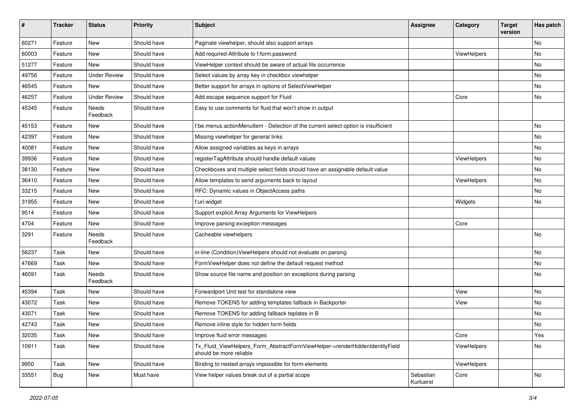| #     | <b>Tracker</b> | <b>Status</b>            | <b>Priority</b> | <b>Subject</b>                                                                                         | <b>Assignee</b>        | Category    | <b>Target</b><br>version | Has patch |
|-------|----------------|--------------------------|-----------------|--------------------------------------------------------------------------------------------------------|------------------------|-------------|--------------------------|-----------|
| 60271 | Feature        | New                      | Should have     | Paginate viewhelper, should also support arrays                                                        |                        |             |                          | <b>No</b> |
| 60003 | Feature        | New                      | Should have     | Add required-Attribute to f:form.password                                                              |                        | ViewHelpers |                          | No        |
| 51277 | Feature        | New                      | Should have     | ViewHelper context should be aware of actual file occurrence                                           |                        |             |                          | No        |
| 49756 | Feature        | <b>Under Review</b>      | Should have     | Select values by array key in checkbox viewhelper                                                      |                        |             |                          | No        |
| 46545 | Feature        | New                      | Should have     | Better support for arrays in options of SelectViewHelper                                               |                        |             |                          | No        |
| 46257 | Feature        | <b>Under Review</b>      | Should have     | Add escape sequence support for Fluid                                                                  |                        | Core        |                          | No        |
| 45345 | Feature        | Needs<br>Feedback        | Should have     | Easy to use comments for fluid that won't show in output                                               |                        |             |                          |           |
| 45153 | Feature        | New                      | Should have     | f:be.menus.actionMenuItem - Detection of the current select option is insufficient                     |                        |             |                          | No        |
| 42397 | Feature        | New                      | Should have     | Missing viewhelper for general links                                                                   |                        |             |                          | No        |
| 40081 | Feature        | New                      | Should have     | Allow assigned variables as keys in arrays                                                             |                        |             |                          | No        |
| 39936 | Feature        | New                      | Should have     | registerTagAttribute should handle default values                                                      |                        | ViewHelpers |                          | No        |
| 38130 | Feature        | New                      | Should have     | Checkboxes and multiple select fields should have an assignable default value                          |                        |             |                          | No        |
| 36410 | Feature        | New                      | Should have     | Allow templates to send arguments back to layout                                                       |                        | ViewHelpers |                          | No        |
| 33215 | Feature        | New                      | Should have     | RFC: Dynamic values in ObjectAccess paths                                                              |                        |             |                          | No        |
| 31955 | Feature        | New                      | Should have     | f:uri.widget                                                                                           |                        | Widgets     |                          | No        |
| 9514  | Feature        | New                      | Should have     | Support explicit Array Arguments for ViewHelpers                                                       |                        |             |                          |           |
| 4704  | Feature        | New                      | Should have     | Improve parsing exception messages                                                                     |                        | Core        |                          |           |
| 3291  | Feature        | <b>Needs</b><br>Feedback | Should have     | Cacheable viewhelpers                                                                                  |                        |             |                          | No        |
| 56237 | Task           | New                      | Should have     | in-line (Condition) ViewHelpers should not evaluate on parsing                                         |                        |             |                          | No        |
| 47669 | Task           | New                      | Should have     | FormViewHelper does not define the default request method                                              |                        |             |                          | No        |
| 46091 | Task           | Needs<br>Feedback        | Should have     | Show source file name and position on exceptions during parsing                                        |                        |             |                          | No        |
| 45394 | Task           | New                      | Should have     | Forwardport Unit test for standalone view                                                              |                        | View        |                          | No        |
| 43072 | Task           | New                      | Should have     | Remove TOKENS for adding templates fallback in Backporter                                              |                        | View        |                          | No        |
| 43071 | Task           | New                      | Should have     | Remove TOKENS for adding fallback teplates in B                                                        |                        |             |                          | <b>No</b> |
| 42743 | Task           | New                      | Should have     | Remove inline style for hidden form fields                                                             |                        |             |                          | No        |
| 32035 | Task           | New                      | Should have     | Improve fluid error messages                                                                           |                        | Core        |                          | Yes       |
| 10911 | Task           | New                      | Should have     | Tx_Fluid_ViewHelpers_Form_AbstractFormViewHelper->renderHiddenIdentityField<br>should be more reliable |                        | ViewHelpers |                          | No        |
| 9950  | Task           | New                      | Should have     | Binding to nested arrays impossible for form-elements                                                  |                        | ViewHelpers |                          |           |
| 33551 | <b>Bug</b>     | New                      | Must have       | View helper values break out of a partial scope                                                        | Sebastian<br>Kurfuerst | Core        |                          | No        |